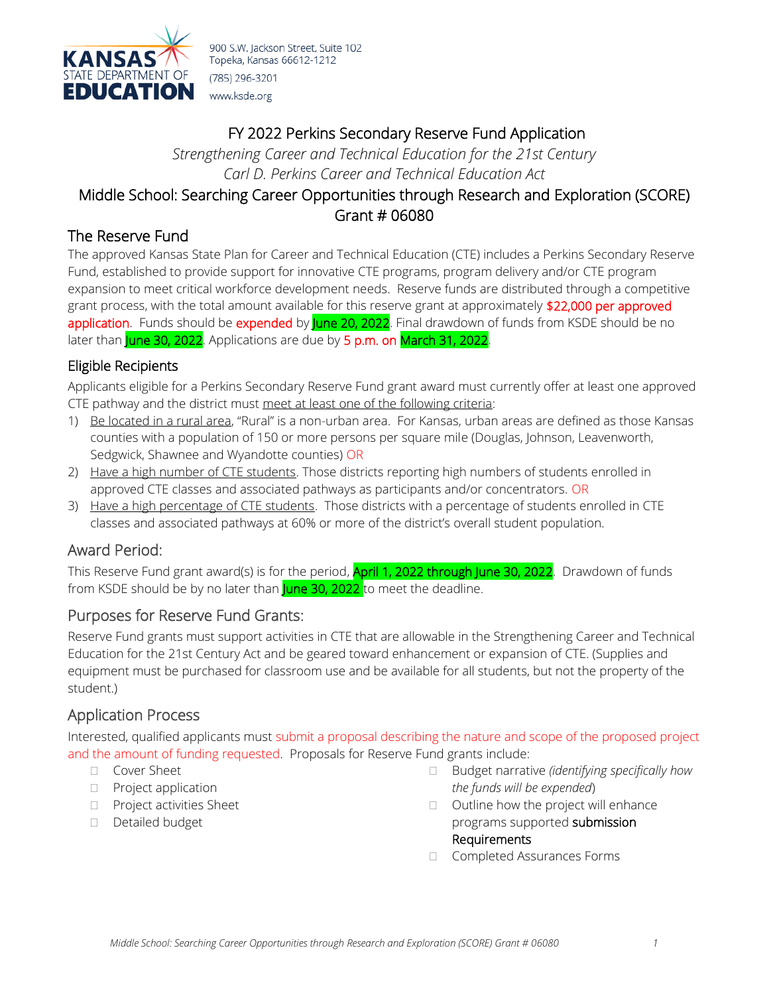

# FY 2022 Perkins Secondary Reserve Fund Application

*Strengthening Career and Technical Education for the 21st Century Carl D. Perkins Career and Technical Education Act*

## Middle School: Searching Career Opportunities through Research and Exploration (SCORE) Grant # 06080

### The Reserve Fund

The approved Kansas State Plan for Career and Technical Education (CTE) includes a Perkins Secondary Reserve Fund, established to provide support for innovative CTE programs, program delivery and/or CTE program expansion to meet critical workforce development needs. Reserve funds are distributed through a competitive grant process, with the total amount available for this reserve grant at approximately \$22,000 per approved application. Funds should be expended by June 20, 2022. Final drawdown of funds from KSDE should be no later than June 30, 2022. Applications are due by 5 p.m. on March 31, 2022.

#### Eligible Recipients

Applicants eligible for a Perkins Secondary Reserve Fund grant award must currently offer at least one approved CTE pathway and the district must meet at least one of the following criteria:

- 1) Be located in a rural area, "Rural" is a non-urban area. For Kansas, urban areas are defined as those Kansas counties with a population of 150 or more persons per square mile (Douglas, Johnson, Leavenworth, Sedgwick, Shawnee and Wyandotte counties) OR
- 2) Have a high number of CTE students. Those districts reporting high numbers of students enrolled in approved CTE classes and associated pathways as participants and/or concentrators. OR
- 3) Have a high percentage of CTE students. Those districts with a percentage of students enrolled in CTE classes and associated pathways at 60% or more of the district's overall student population.

### Award Period:

This Reserve Fund grant award(s) is for the period, **April 1, 2022 through June 30, 2022**. Drawdown of funds from KSDE should be by no later than **June 30, 2022** to meet the deadline.

#### Purposes for Reserve Fund Grants:

Reserve Fund grants must support activities in CTE that are allowable in the Strengthening Career and Technical Education for the 21st Century Act and be geared toward enhancement or expansion of CTE. (Supplies and equipment must be purchased for classroom use and be available for all students, but not the property of the student.)

### Application Process

Interested, qualified applicants must submit a proposal describing the nature and scope of the proposed project and the amount of funding requested. Proposals for Reserve Fund grants include:

#### □ Cover Sheet

- **Project application**
- **Project activities Sheet**
- Detailed budget
- Budget narrative *(identifying specifically how the funds will be expended*)
- $\Box$  Outline how the project will enhance programs supported submission Requirements
- □ Completed Assurances Forms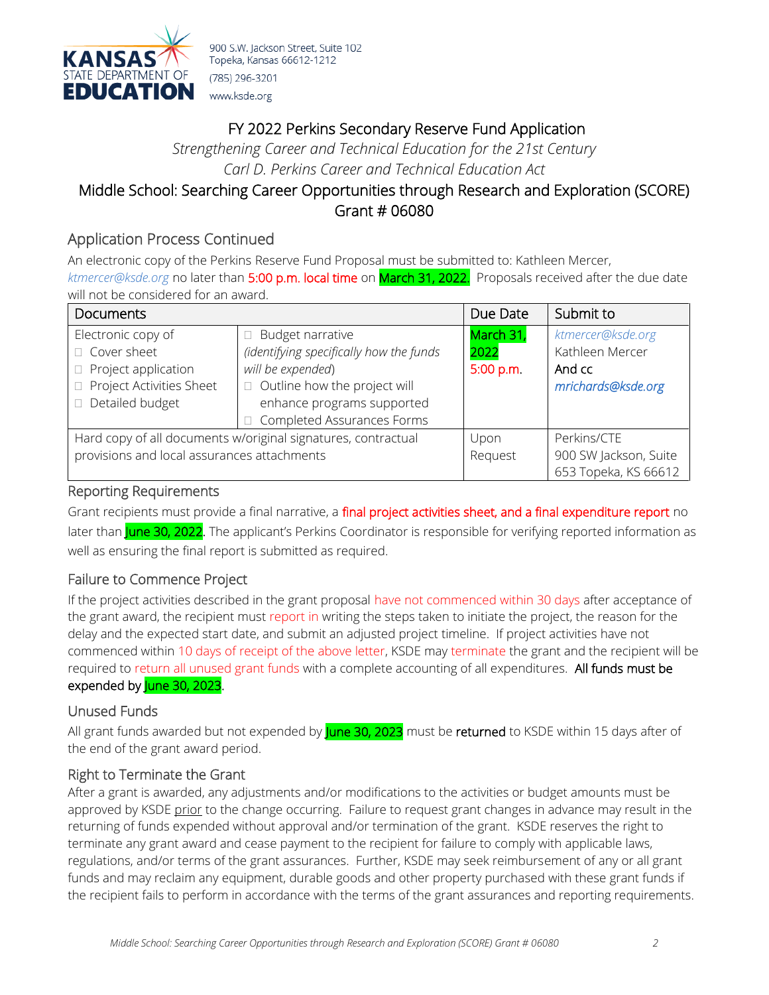

# FY 2022 Perkins Secondary Reserve Fund Application

*Strengthening Career and Technical Education for the 21st Century Carl D. Perkins Career and Technical Education Act*

### Middle School: Searching Career Opportunities through Research and Exploration (SCORE) Grant # 06080

## Application Process Continued

An electronic copy of the Perkins Reserve Fund Proposal must be submitted to: Kathleen Mercer, *[ktmercer@ksde.org](mailto:ktmercer@ksde.org)* no later than 5:00 p.m. local time on March 31, 2022. Proposals received after the due date will not be considered for an award.

| <b>Documents</b>                                              |                                         | Due Date  | Submit to             |  |
|---------------------------------------------------------------|-----------------------------------------|-----------|-----------------------|--|
| Electronic copy of                                            | Budget narrative<br>$\Box$              | March 31, | ktmercer@ksde.org     |  |
| □ Cover sheet                                                 | (identifying specifically how the funds | 2022      | Kathleen Mercer       |  |
| Project application<br>$\Box$                                 | will be expended)                       | 5:00 p.m. | And cc                |  |
| Project Activities Sheet                                      | $\Box$ Outline how the project will     |           | mrichards@ksde.org    |  |
| Detailed budget                                               | enhance programs supported              |           |                       |  |
|                                                               | Completed Assurances Forms              |           |                       |  |
| Hard copy of all documents w/original signatures, contractual |                                         | Upon      | Perkins/CTE           |  |
| provisions and local assurances attachments                   |                                         | Request   | 900 SW Jackson, Suite |  |
|                                                               |                                         |           | 653 Topeka, KS 66612  |  |

#### Reporting Requirements

Grant recipients must provide a final narrative, a final project activities sheet, and a final expenditure report no later than June 30, 2022. The applicant's Perkins Coordinator is responsible for verifying reported information as well as ensuring the final report is submitted as required.

#### Failure to Commence Project

If the project activities described in the grant proposal have not commenced within 30 days after acceptance of the grant award, the recipient must report in writing the steps taken to initiate the project, the reason for the delay and the expected start date, and submit an adjusted project timeline. If project activities have not commenced within 10 days of receipt of the above letter, KSDE may terminate the grant and the recipient will be required to return all unused grant funds with a complete accounting of all expenditures. All funds must be expended by June 30, 2023.

#### Unused Funds

All grant funds awarded but not expended by June 30, 2023 must be returned to KSDE within 15 days after of the end of the grant award period.

#### Right to Terminate the Grant

After a grant is awarded, any adjustments and/or modifications to the activities or budget amounts must be approved by KSDE prior to the change occurring. Failure to request grant changes in advance may result in the returning of funds expended without approval and/or termination of the grant. KSDE reserves the right to terminate any grant award and cease payment to the recipient for failure to comply with applicable laws, regulations, and/or terms of the grant assurances. Further, KSDE may seek reimbursement of any or all grant funds and may reclaim any equipment, durable goods and other property purchased with these grant funds if the recipient fails to perform in accordance with the terms of the grant assurances and reporting requirements.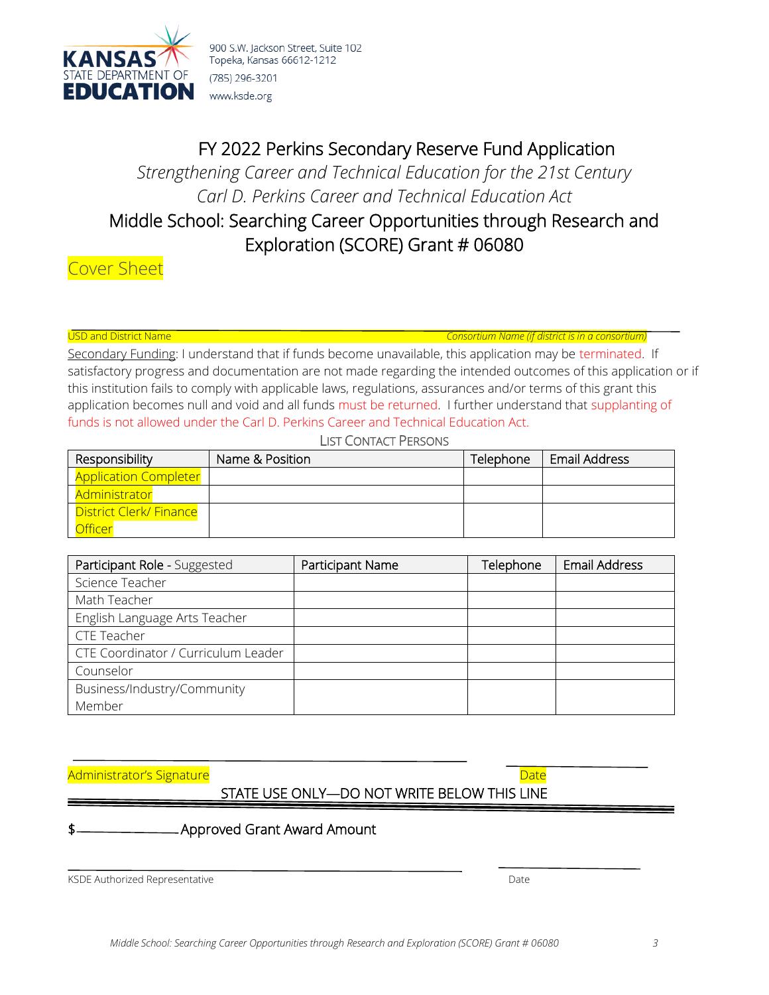

# FY 2022 Perkins Secondary Reserve Fund Application

*Strengthening Career and Technical Education for the 21st Century Carl D. Perkins Career and Technical Education Act*

# Middle School: Searching Career Opportunities through Research and Exploration (SCORE) Grant # 06080

Cover Sheet

USD and District Name *Consortium Name (if district is in a consortium)*

Secondary Funding: I understand that if funds become unavailable, this application may be terminated. If satisfactory progress and documentation are not made regarding the intended outcomes of this application or if this institution fails to comply with applicable laws, regulations, assurances and/or terms of this grant this application becomes null and void and all funds must be returned. I further understand that supplanting of funds is not allowed under the Carl D. Perkins Career and Technical Education Act.

LIST CONTACT PERSONS

| Responsibility                 | Name & Position | Telephone | <b>Email Address</b> |
|--------------------------------|-----------------|-----------|----------------------|
| <b>Application Completer</b>   |                 |           |                      |
| <b>Administrator</b>           |                 |           |                      |
| <b>District Clerk/ Finance</b> |                 |           |                      |
| <u>Officer</u>                 |                 |           |                      |

| Participant Role - Suggested        | Participant Name | Telephone | <b>Email Address</b> |
|-------------------------------------|------------------|-----------|----------------------|
| Science Teacher                     |                  |           |                      |
| Math Teacher                        |                  |           |                      |
| English Language Arts Teacher       |                  |           |                      |
| <b>CTE Teacher</b>                  |                  |           |                      |
| CTE Coordinator / Curriculum Leader |                  |           |                      |
| Counselor                           |                  |           |                      |
| Business/Industry/Community         |                  |           |                      |
| Member                              |                  |           |                      |

Administrator's Signature Date Date of Contractor's Signature Date Date of Contractor's Signature Date of Contr

## STATE USE ONLY—DO NOT WRITE BELOW THIS LINE

Approved Grant Award Amount

KSDE Authorized Representative and the control of the control of the Date of Date Date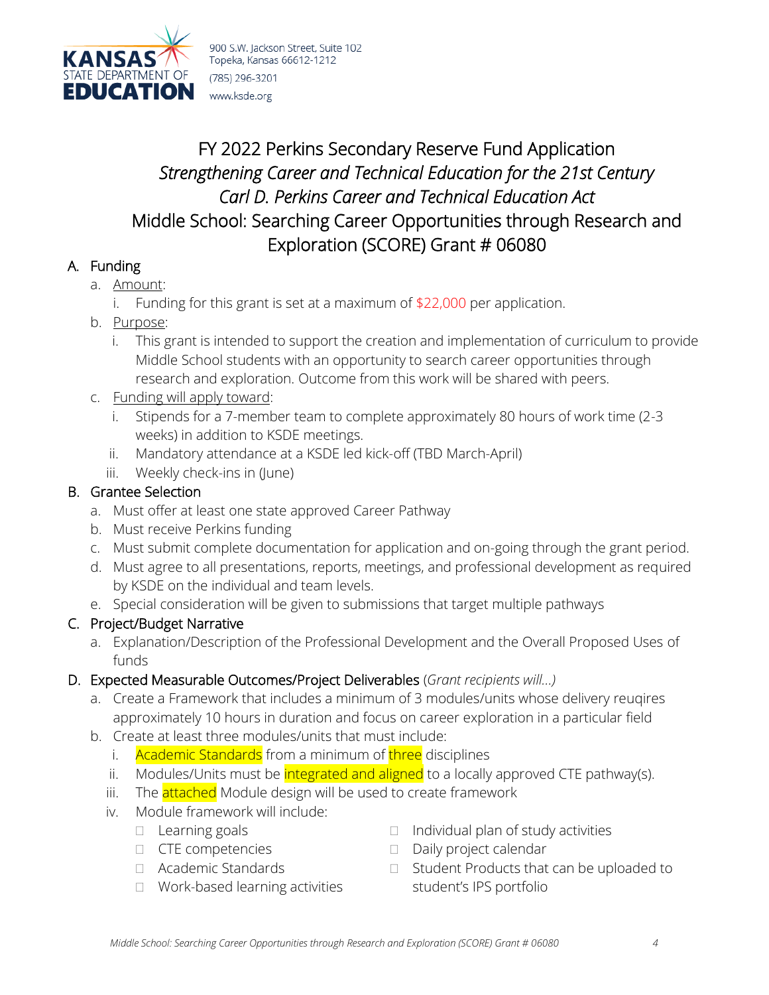

# FY 2022 Perkins Secondary Reserve Fund Application *Strengthening Career and Technical Education for the 21st Century Carl D. Perkins Career and Technical Education Act* Middle School: Searching Career Opportunities through Research and Exploration (SCORE) Grant # 06080

## A. Funding

- a. Amount:
	- i. Funding for this grant is set at a maximum of \$22,000 per application.
- b. Purpose:
	- i. This grant is intended to support the creation and implementation of curriculum to provide Middle School students with an opportunity to search career opportunities through research and exploration. Outcome from this work will be shared with peers.
- c. Funding will apply toward:
	- i. Stipends for a 7-member team to complete approximately 80 hours of work time (2-3 weeks) in addition to KSDE meetings.
	- ii. Mandatory attendance at a KSDE led kick-off (TBD March-April)
	- iii. Weekly check-ins in (June)

### B. Grantee Selection

- a. Must offer at least one state approved Career Pathway
- b. Must receive Perkins funding
- c. Must submit complete documentation for application and on-going through the grant period.
- d. Must agree to all presentations, reports, meetings, and professional development as required by KSDE on the individual and team levels.
- e. Special consideration will be given to submissions that target multiple pathways

## C. Project/Budget Narrative

- a. Explanation/Description of the Professional Development and the Overall Proposed Uses of funds
- D. Expected Measurable Outcomes/Project Deliverables (*Grant recipients will…)*
	- a. Create a Framework that includes a minimum of 3 modules/units whose delivery reuqires approximately 10 hours in duration and focus on career exploration in a particular field
	- b. Create at least three modules/units that must include:
		- i. Academic Standards from a minimum of three disciplines
		- ii. Modules/Units must be *integrated and aligned* to a locally approved CTE pathway(s).
		- iii. The **attached** Module design will be used to create framework
		- iv. Module framework will include:
			- $\Box$  Learning goals
			- CTE competencies
			- Academic Standards
			- □ Work-based learning activities
- $\Box$  Individual plan of study activities
- Daily project calendar
- $\Box$  Student Products that can be uploaded to student's IPS portfolio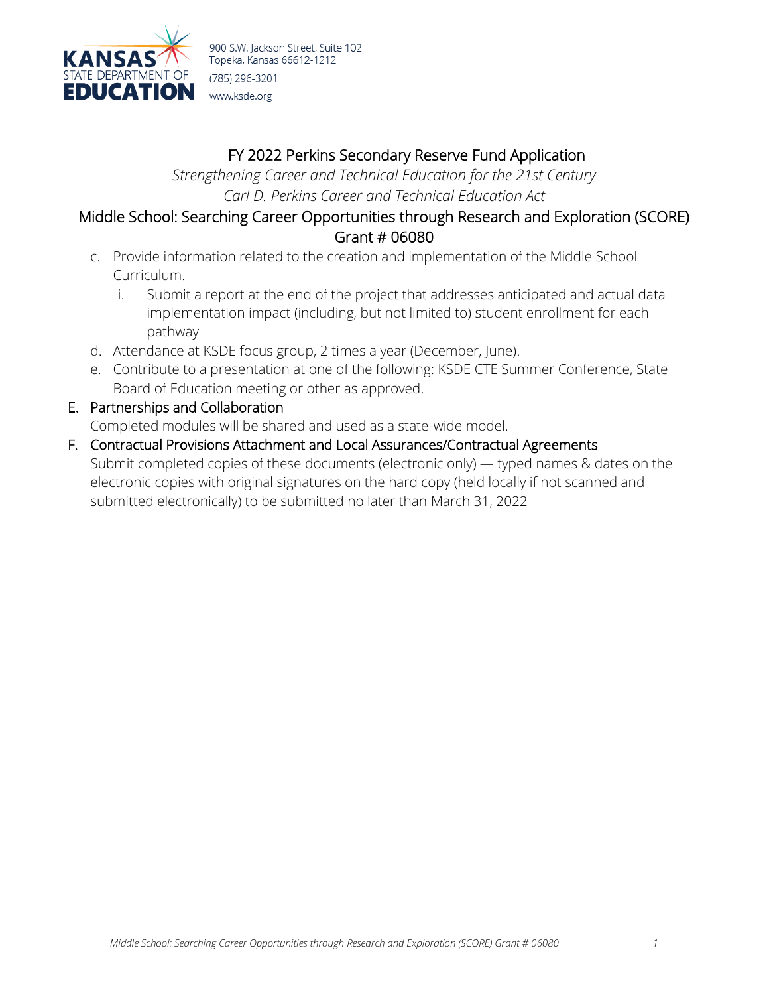

# FY 2022 Perkins Secondary Reserve Fund Application

*Strengthening Career and Technical Education for the 21st Century Carl D. Perkins Career and Technical Education Act*

### Middle School: Searching Career Opportunities through Research and Exploration (SCORE) Grant # 06080

- c. Provide information related to the creation and implementation of the Middle School Curriculum.
	- i. Submit a report at the end of the project that addresses anticipated and actual data implementation impact (including, but not limited to) student enrollment for each pathway
- d. Attendance at KSDE focus group, 2 times a year (December, June).
- e. Contribute to a presentation at one of the following: KSDE CTE Summer Conference, State Board of Education meeting or other as approved.
- E. Partnerships and Collaboration

Completed modules will be shared and used as a state-wide model.

F. Contractual Provisions Attachment and Local Assurances/Contractual Agreements Submit completed copies of these documents (electronic only) — typed names & dates on the electronic copies with original signatures on the hard copy (held locally if not scanned and submitted electronically) to be submitted no later than March 31, 2022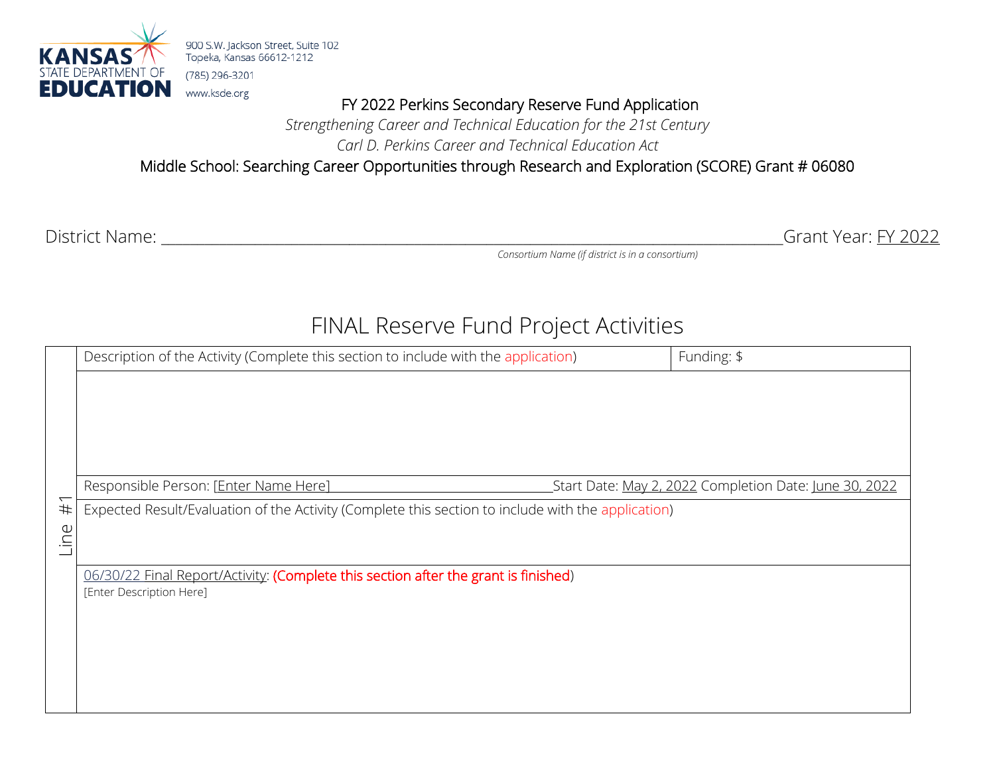

FY 2022 Perkins Secondary Reserve Fund Application

*Strengthening Career and Technical Education for the 21st Century Carl D. Perkins Career and Technical Education Act*

Middle School: Searching Career Opportunities through Research and Exploration (SCORE) Grant # 06080

District Name: \_\_\_\_\_\_\_\_\_\_\_\_\_\_\_\_\_\_\_\_\_\_\_\_\_\_\_\_\_\_\_\_\_\_\_\_\_\_\_\_\_\_\_\_\_\_\_\_\_\_\_\_\_\_\_\_\_\_\_\_\_\_\_\_\_\_\_\_\_\_\_\_\_\_\_\_\_\_\_\_\_\_\_\_\_\_Grant Year: FY 2022

*Consortium Name (if district is in a consortium)*

# FINAL Reserve Fund Project Activities

|      | Description of the Activity (Complete this section to include with the application)                             | Funding: \$                                            |  |
|------|-----------------------------------------------------------------------------------------------------------------|--------------------------------------------------------|--|
|      |                                                                                                                 |                                                        |  |
|      |                                                                                                                 |                                                        |  |
|      |                                                                                                                 |                                                        |  |
|      |                                                                                                                 |                                                        |  |
|      | Responsible Person: [Enter Name Here]                                                                           | Start Date: May 2, 2022 Completion Date: June 30, 2022 |  |
| #1   | Expected Result/Evaluation of the Activity (Complete this section to include with the application)              |                                                        |  |
| Line |                                                                                                                 |                                                        |  |
|      |                                                                                                                 |                                                        |  |
|      | 06/30/22 Final Report/Activity: (Complete this section after the grant is finished)<br>[Enter Description Here] |                                                        |  |
|      |                                                                                                                 |                                                        |  |
|      |                                                                                                                 |                                                        |  |
|      |                                                                                                                 |                                                        |  |
|      |                                                                                                                 |                                                        |  |
|      |                                                                                                                 |                                                        |  |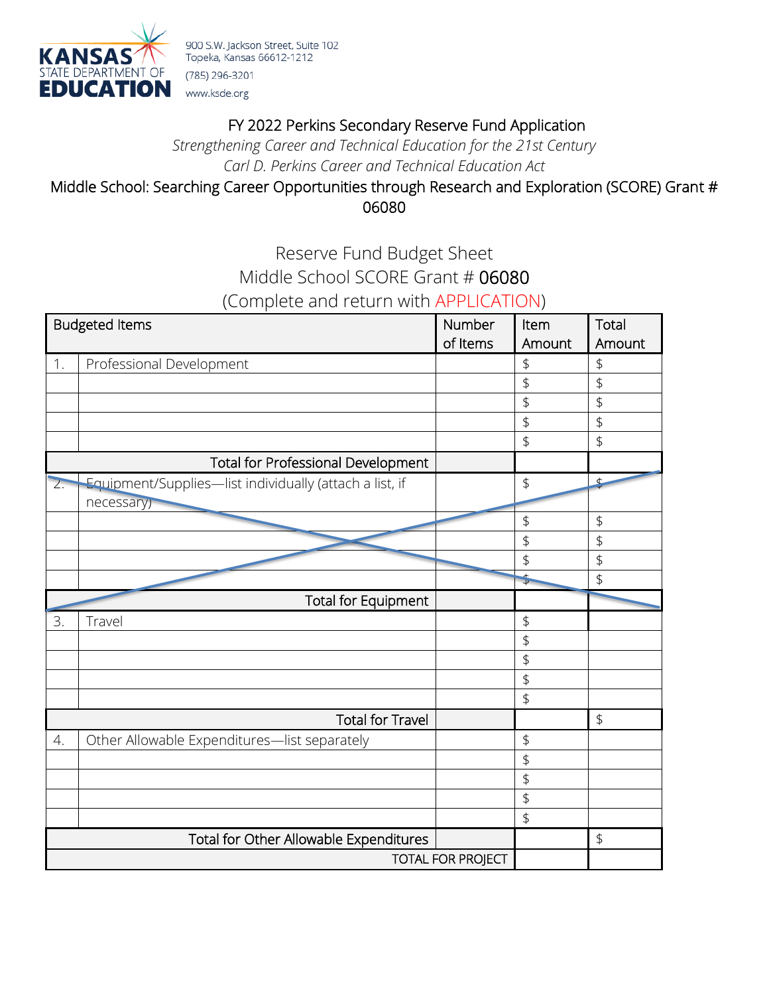

# FY 2022 Perkins Secondary Reserve Fund Application

*Strengthening Career and Technical Education for the 21st Century Carl D. Perkins Career and Technical Education Act*

## Middle School: Searching Career Opportunities through Research and Exploration (SCORE) Grant # 06080

# Reserve Fund Budget Sheet Middle School SCORE Grant # 06080 (Complete and return with APPLICATION)

| 1.<br>Professional Development<br>$\updownarrow$<br>\$<br>\$<br>\$<br>\$<br>\$<br>\$<br>$\frac{1}{2}$<br>\$<br>\$<br>Total for Professional Development<br>Equipment/Supplies-list individually (attach a list, if<br>$\updownarrow$<br>¢<br>$\overline{Z}$ .<br>necessary)<br>$\updownarrow$<br>$\updownarrow$<br>\$<br>\$<br>\$<br>\$<br>$\stackrel{+}{\rightarrow}$<br>\$<br><b>Total for Equipment</b><br>3.<br>Travel<br>\$<br>$\updownarrow$<br>\$<br>$\updownarrow$<br>\$<br>\$<br><b>Total for Travel</b><br>Other Allowable Expenditures-list separately<br>\$<br>4.<br>$\updownarrow$<br>\$<br>$\updownarrow$<br>\$<br>Total for Other Allowable Expenditures<br>$\updownarrow$<br><b>TOTAL FOR PROJECT</b> | <b>Budgeted Items</b> | Number<br>of Items | Item<br>Amount | Total<br>Amount |
|-----------------------------------------------------------------------------------------------------------------------------------------------------------------------------------------------------------------------------------------------------------------------------------------------------------------------------------------------------------------------------------------------------------------------------------------------------------------------------------------------------------------------------------------------------------------------------------------------------------------------------------------------------------------------------------------------------------------------|-----------------------|--------------------|----------------|-----------------|
|                                                                                                                                                                                                                                                                                                                                                                                                                                                                                                                                                                                                                                                                                                                       |                       |                    |                |                 |
|                                                                                                                                                                                                                                                                                                                                                                                                                                                                                                                                                                                                                                                                                                                       |                       |                    |                |                 |
|                                                                                                                                                                                                                                                                                                                                                                                                                                                                                                                                                                                                                                                                                                                       |                       |                    |                |                 |
|                                                                                                                                                                                                                                                                                                                                                                                                                                                                                                                                                                                                                                                                                                                       |                       |                    |                |                 |
|                                                                                                                                                                                                                                                                                                                                                                                                                                                                                                                                                                                                                                                                                                                       |                       |                    |                |                 |
|                                                                                                                                                                                                                                                                                                                                                                                                                                                                                                                                                                                                                                                                                                                       |                       |                    |                |                 |
|                                                                                                                                                                                                                                                                                                                                                                                                                                                                                                                                                                                                                                                                                                                       |                       |                    |                |                 |
|                                                                                                                                                                                                                                                                                                                                                                                                                                                                                                                                                                                                                                                                                                                       |                       |                    |                |                 |
|                                                                                                                                                                                                                                                                                                                                                                                                                                                                                                                                                                                                                                                                                                                       |                       |                    |                |                 |
|                                                                                                                                                                                                                                                                                                                                                                                                                                                                                                                                                                                                                                                                                                                       |                       |                    |                |                 |
|                                                                                                                                                                                                                                                                                                                                                                                                                                                                                                                                                                                                                                                                                                                       |                       |                    |                |                 |
|                                                                                                                                                                                                                                                                                                                                                                                                                                                                                                                                                                                                                                                                                                                       |                       |                    |                |                 |
|                                                                                                                                                                                                                                                                                                                                                                                                                                                                                                                                                                                                                                                                                                                       |                       |                    |                |                 |
|                                                                                                                                                                                                                                                                                                                                                                                                                                                                                                                                                                                                                                                                                                                       |                       |                    |                |                 |
|                                                                                                                                                                                                                                                                                                                                                                                                                                                                                                                                                                                                                                                                                                                       |                       |                    |                |                 |
|                                                                                                                                                                                                                                                                                                                                                                                                                                                                                                                                                                                                                                                                                                                       |                       |                    |                |                 |
|                                                                                                                                                                                                                                                                                                                                                                                                                                                                                                                                                                                                                                                                                                                       |                       |                    |                |                 |
|                                                                                                                                                                                                                                                                                                                                                                                                                                                                                                                                                                                                                                                                                                                       |                       |                    |                |                 |
|                                                                                                                                                                                                                                                                                                                                                                                                                                                                                                                                                                                                                                                                                                                       |                       |                    |                |                 |
|                                                                                                                                                                                                                                                                                                                                                                                                                                                                                                                                                                                                                                                                                                                       |                       |                    |                |                 |
|                                                                                                                                                                                                                                                                                                                                                                                                                                                                                                                                                                                                                                                                                                                       |                       |                    |                |                 |
|                                                                                                                                                                                                                                                                                                                                                                                                                                                                                                                                                                                                                                                                                                                       |                       |                    |                |                 |
|                                                                                                                                                                                                                                                                                                                                                                                                                                                                                                                                                                                                                                                                                                                       |                       |                    |                |                 |
|                                                                                                                                                                                                                                                                                                                                                                                                                                                                                                                                                                                                                                                                                                                       |                       |                    |                |                 |
|                                                                                                                                                                                                                                                                                                                                                                                                                                                                                                                                                                                                                                                                                                                       |                       |                    |                |                 |
|                                                                                                                                                                                                                                                                                                                                                                                                                                                                                                                                                                                                                                                                                                                       |                       |                    |                |                 |
|                                                                                                                                                                                                                                                                                                                                                                                                                                                                                                                                                                                                                                                                                                                       |                       |                    |                |                 |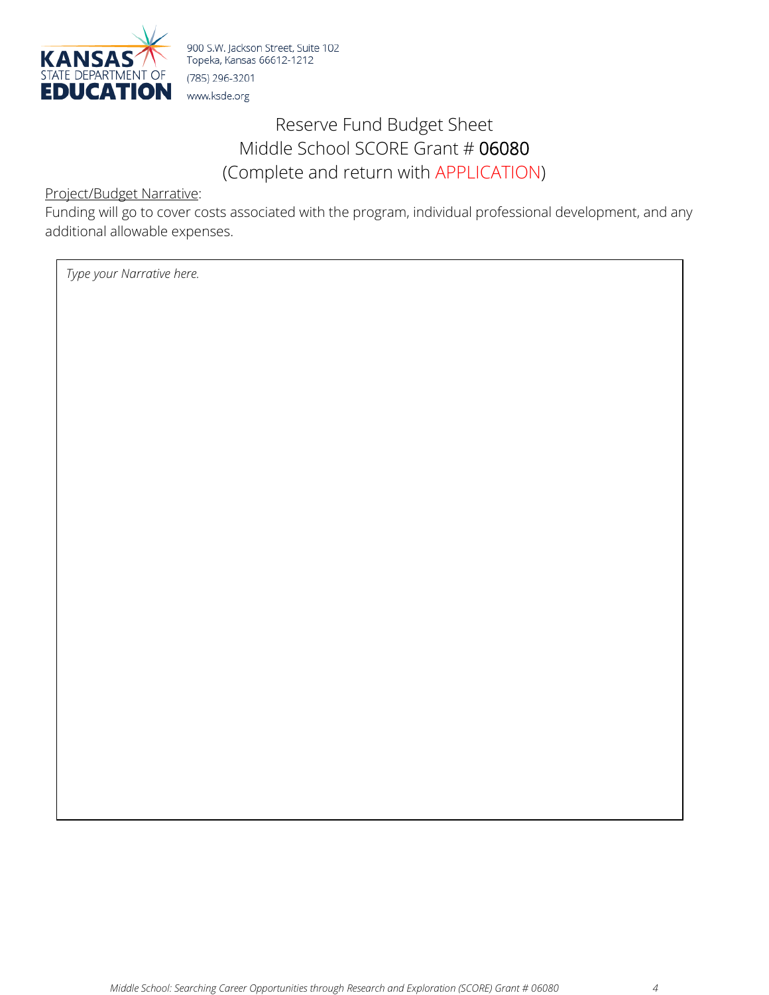

# Reserve Fund Budget Sheet Middle School SCORE Grant # 06080 (Complete and return with APPLICATION)

Project/Budget Narrative:

Funding will go to cover costs associated with the program, individual professional development, and any additional allowable expenses.

*Type your Narrative here.*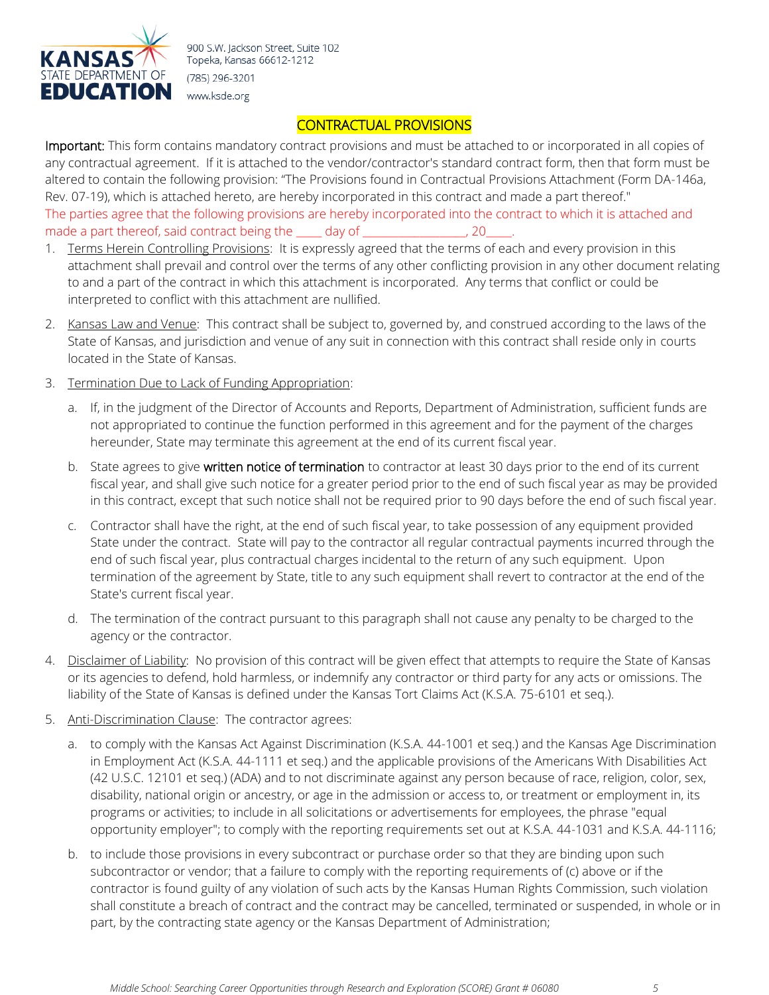

### CONTRACTUAL PROVISIONS

Important: This form contains mandatory contract provisions and must be attached to or incorporated in all copies of any contractual agreement. If it is attached to the vendor/contractor's standard contract form, then that form must be altered to contain the following provision: "The Provisions found in Contractual Provisions Attachment (Form DA-146a, Rev. 07-19), which is attached hereto, are hereby incorporated in this contract and made a part thereof." The parties agree that the following provisions are hereby incorporated into the contract to which it is attached and made a part thereof, said contract being the subgraph of the subgraph and a part thereof, said contract being the subgraph of the subgraph of the subgraph of the subgraph of the subgraph of the subgraph of the subgraph of

- 1. Terms Herein Controlling Provisions: It is expressly agreed that the terms of each and every provision in this attachment shall prevail and control over the terms of any other conflicting provision in any other document relating to and a part of the contract in which this attachment is incorporated. Any terms that conflict or could be interpreted to conflict with this attachment are nullified.
- 2. Kansas Law and Venue: This contract shall be subject to, governed by, and construed according to the laws of the State of Kansas, and jurisdiction and venue of any suit in connection with this contract shall reside only in courts located in the State of Kansas.
- 3. Termination Due to Lack of Funding Appropriation:
	- a. If, in the judgment of the Director of Accounts and Reports, Department of Administration, sufficient funds are not appropriated to continue the function performed in this agreement and for the payment of the charges hereunder, State may terminate this agreement at the end of its current fiscal year.
	- b. State agrees to give written notice of termination to contractor at least 30 days prior to the end of its current fiscal year, and shall give such notice for a greater period prior to the end of such fiscal year as may be provided in this contract, except that such notice shall not be required prior to 90 days before the end of such fiscal year.
	- c. Contractor shall have the right, at the end of such fiscal year, to take possession of any equipment provided State under the contract. State will pay to the contractor all regular contractual payments incurred through the end of such fiscal year, plus contractual charges incidental to the return of any such equipment. Upon termination of the agreement by State, title to any such equipment shall revert to contractor at the end of the State's current fiscal year.
	- d. The termination of the contract pursuant to this paragraph shall not cause any penalty to be charged to the agency or the contractor.
- 4. Disclaimer of Liability: No provision of this contract will be given effect that attempts to require the State of Kansas or its agencies to defend, hold harmless, or indemnify any contractor or third party for any acts or omissions. The liability of the State of Kansas is defined under the Kansas Tort Claims Act (K.S.A. 75-6101 et seq.).
- 5. Anti-Discrimination Clause: The contractor agrees:
	- a. to comply with the Kansas Act Against Discrimination (K.S.A. 44-1001 et seq.) and the Kansas Age Discrimination in Employment Act (K.S.A. 44-1111 et seq.) and the applicable provisions of the Americans With Disabilities Act (42 U.S.C. 12101 et seq.) (ADA) and to not discriminate against any person because of race, religion, color, sex, disability, national origin or ancestry, or age in the admission or access to, or treatment or employment in, its programs or activities; to include in all solicitations or advertisements for employees, the phrase "equal opportunity employer"; to comply with the reporting requirements set out at K.S.A. 44-1031 and K.S.A. 44-1116;
	- b. to include those provisions in every subcontract or purchase order so that they are binding upon such subcontractor or vendor; that a failure to comply with the reporting requirements of (c) above or if the contractor is found guilty of any violation of such acts by the Kansas Human Rights Commission, such violation shall constitute a breach of contract and the contract may be cancelled, terminated or suspended, in whole or in part, by the contracting state agency or the Kansas Department of Administration;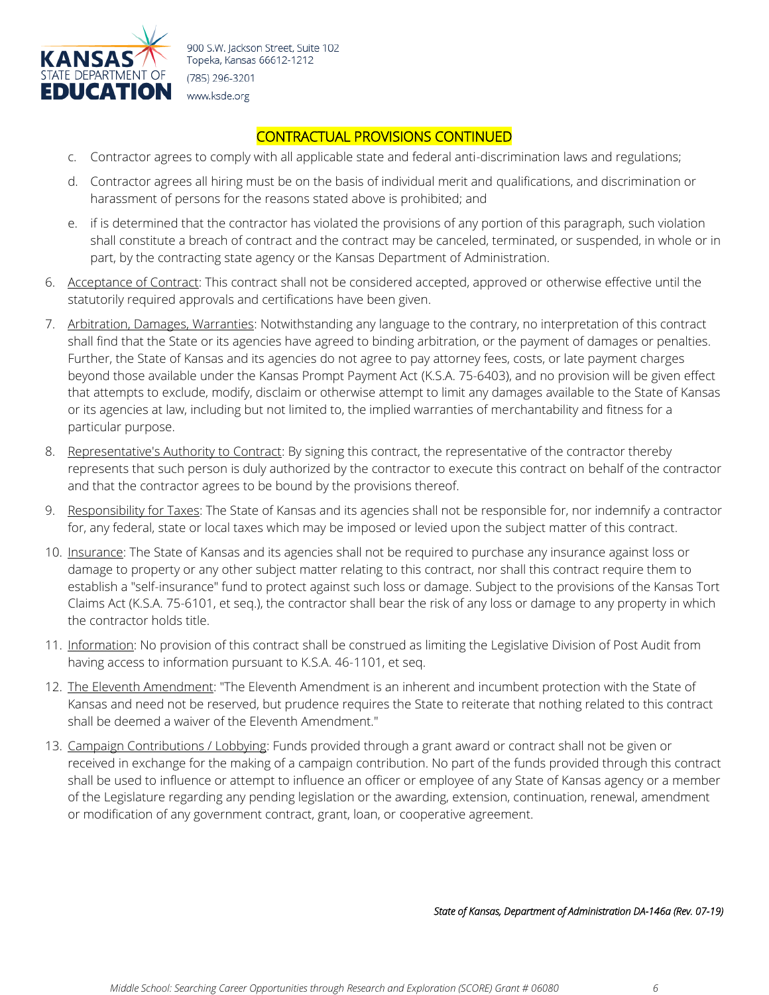

#### CONTRACTUAL PROVISIONS CONTINUED

- c. Contractor agrees to comply with all applicable state and federal anti-discrimination laws and regulations;
- d. Contractor agrees all hiring must be on the basis of individual merit and qualifications, and discrimination or harassment of persons for the reasons stated above is prohibited; and
- e. if is determined that the contractor has violated the provisions of any portion of this paragraph, such violation shall constitute a breach of contract and the contract may be canceled, terminated, or suspended, in whole or in part, by the contracting state agency or the Kansas Department of Administration.
- 6. Acceptance of Contract: This contract shall not be considered accepted, approved or otherwise effective until the statutorily required approvals and certifications have been given.
- 7. Arbitration, Damages, Warranties: Notwithstanding any language to the contrary, no interpretation of this contract shall find that the State or its agencies have agreed to binding arbitration, or the payment of damages or penalties. Further, the State of Kansas and its agencies do not agree to pay attorney fees, costs, or late payment charges beyond those available under the Kansas Prompt Payment Act (K.S.A. 75-6403), and no provision will be given effect that attempts to exclude, modify, disclaim or otherwise attempt to limit any damages available to the State of Kansas or its agencies at law, including but not limited to, the implied warranties of merchantability and fitness for a particular purpose.
- 8. Representative's Authority to Contract: By signing this contract, the representative of the contractor thereby represents that such person is duly authorized by the contractor to execute this contract on behalf of the contractor and that the contractor agrees to be bound by the provisions thereof.
- 9. Responsibility for Taxes: The State of Kansas and its agencies shall not be responsible for, nor indemnify a contractor for, any federal, state or local taxes which may be imposed or levied upon the subject matter of this contract.
- 10. Insurance: The State of Kansas and its agencies shall not be required to purchase any insurance against loss or damage to property or any other subject matter relating to this contract, nor shall this contract require them to establish a "self-insurance" fund to protect against such loss or damage. Subject to the provisions of the Kansas Tort Claims Act (K.S.A. 75-6101, et seq.), the contractor shall bear the risk of any loss or damage to any property in which the contractor holds title.
- 11. Information: No provision of this contract shall be construed as limiting the Legislative Division of Post Audit from having access to information pursuant to K.S.A. 46-1101, et seq.
- 12. The Eleventh Amendment: "The Eleventh Amendment is an inherent and incumbent protection with the State of Kansas and need not be reserved, but prudence requires the State to reiterate that nothing related to this contract shall be deemed a waiver of the Eleventh Amendment."
- 13. Campaign Contributions / Lobbying: Funds provided through a grant award or contract shall not be given or received in exchange for the making of a campaign contribution. No part of the funds provided through this contract shall be used to influence or attempt to influence an officer or employee of any State of Kansas agency or a member of the Legislature regarding any pending legislation or the awarding, extension, continuation, renewal, amendment or modification of any government contract, grant, loan, or cooperative agreement.

*State of Kansas, Department of Administration DA-146a (Rev. 07-19)*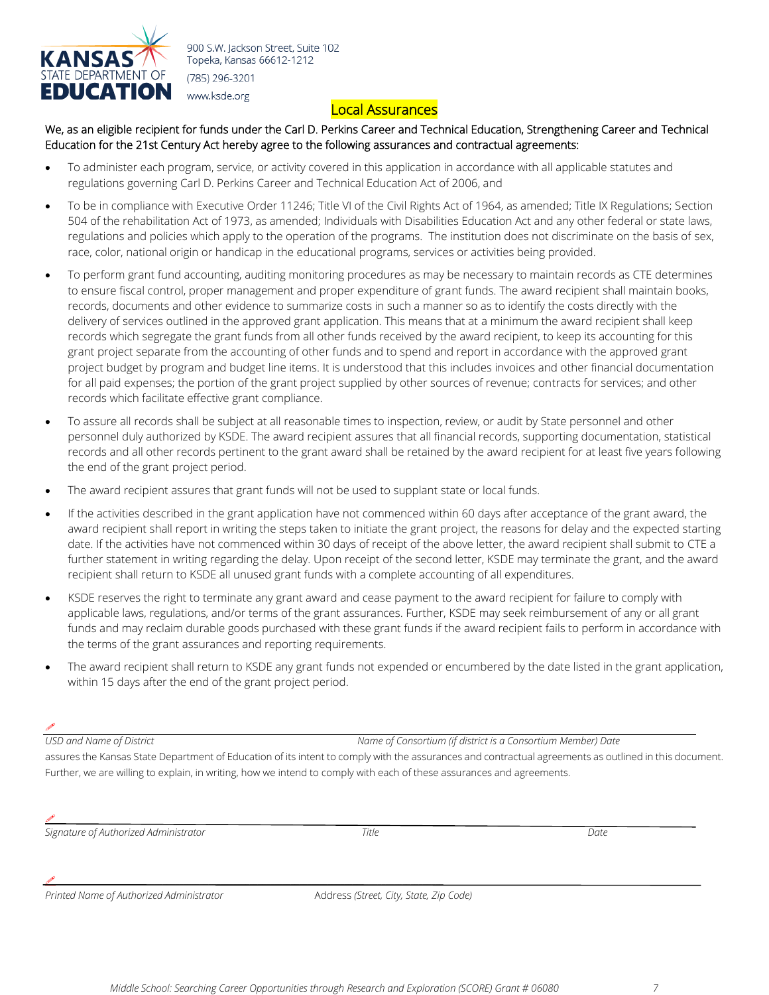

#### Local Assurances

We, as an eligible recipient for funds under the Carl D. Perkins Career and Technical Education, Strengthening Career and Technical Education for the 21st Century Act hereby agree to the following assurances and contractual agreements:

- To administer each program, service, or activity covered in this application in accordance with all applicable statutes and regulations governing Carl D. Perkins Career and Technical Education Act of 2006, and
- To be in compliance with Executive Order 11246; Title VI of the Civil Rights Act of 1964, as amended; Title IX Regulations; Section 504 of the rehabilitation Act of 1973, as amended; Individuals with Disabilities Education Act and any other federal or state laws, regulations and policies which apply to the operation of the programs. The institution does not discriminate on the basis of sex, race, color, national origin or handicap in the educational programs, services or activities being provided.
- To perform grant fund accounting, auditing monitoring procedures as may be necessary to maintain records as CTE determines to ensure fiscal control, proper management and proper expenditure of grant funds. The award recipient shall maintain books, records, documents and other evidence to summarize costs in such a manner so as to identify the costs directly with the delivery of services outlined in the approved grant application. This means that at a minimum the award recipient shall keep records which segregate the grant funds from all other funds received by the award recipient, to keep its accounting for this grant project separate from the accounting of other funds and to spend and report in accordance with the approved grant project budget by program and budget line items. It is understood that this includes invoices and other financial documentation for all paid expenses; the portion of the grant project supplied by other sources of revenue; contracts for services; and other records which facilitate effective grant compliance.
- To assure all records shall be subject at all reasonable times to inspection, review, or audit by State personnel and other personnel duly authorized by KSDE. The award recipient assures that all financial records, supporting documentation, statistical records and all other records pertinent to the grant award shall be retained by the award recipient for at least five years following the end of the grant project period.
- The award recipient assures that grant funds will not be used to supplant state or local funds.
- If the activities described in the grant application have not commenced within 60 days after acceptance of the grant award, the award recipient shall report in writing the steps taken to initiate the grant project, the reasons for delay and the expected starting date. If the activities have not commenced within 30 days of receipt of the above letter, the award recipient shall submit to CTE a further statement in writing regarding the delay. Upon receipt of the second letter, KSDE may terminate the grant, and the award recipient shall return to KSDE all unused grant funds with a complete accounting of all expenditures.
- KSDE reserves the right to terminate any grant award and cease payment to the award recipient for failure to comply with applicable laws, regulations, and/or terms of the grant assurances. Further, KSDE may seek reimbursement of any or all grant funds and may reclaim durable goods purchased with these grant funds if the award recipient fails to perform in accordance with the terms of the grant assurances and reporting requirements.
- The award recipient shall return to KSDE any grant funds not expended or encumbered by the date listed in the grant application, within 15 days after the end of the grant project period.

#### **County**

*USD and Name of District Name of Consortium (if district is a Consortium Member) Date*

assures the Kansas State Department of Education of its intent to comply with the assurances and contractual agreements as outlined in this document. Further, we are willing to explain, in writing, how we intend to comply with each of these assurances and agreements.

**County** 

*Signature of Authorized Administrator Title Date*

*Printed Name of Authorized Administrator* Address *(Street, City, State, Zip Code)* 

 $\mathscr{S}$  , and the contribution of the contribution of the contribution of the contribution of the contribution of the contribution of the contribution of the contribution of the contribution of the contribution of the co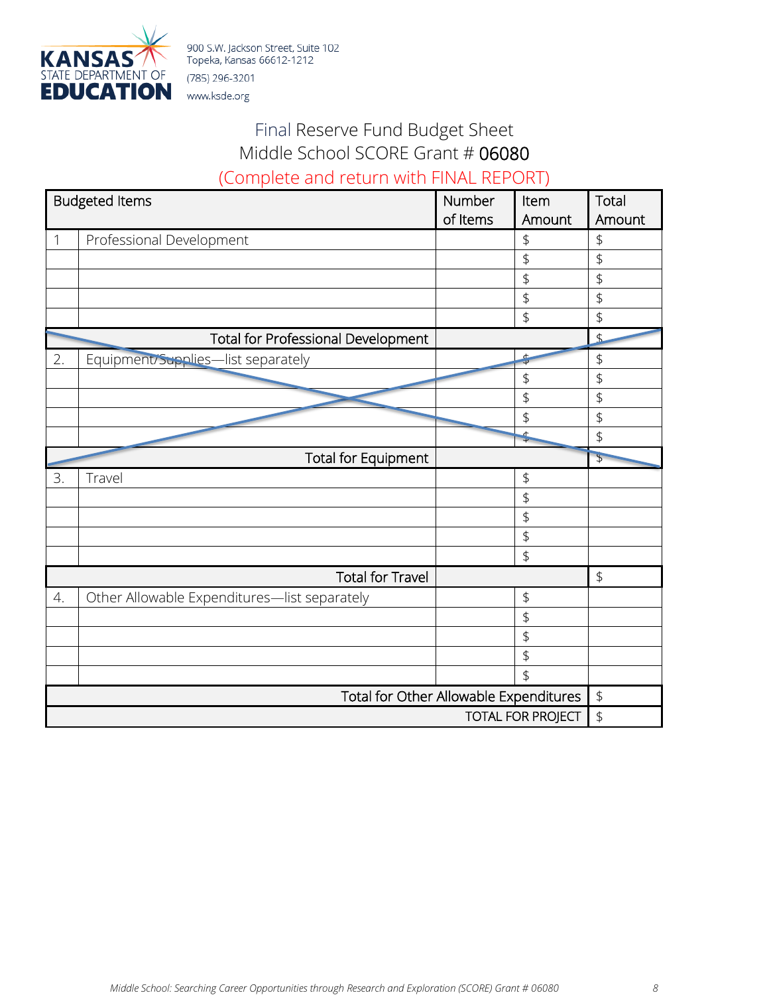

# Final Reserve Fund Budget Sheet Middle School SCORE Grant # 06080 (Complete and return with FINAL REPORT)

|                                        | <b>Budgeted Items</b>                        | Number   | Item           | Total          |
|----------------------------------------|----------------------------------------------|----------|----------------|----------------|
|                                        |                                              | of Items | Amount         | Amount         |
| 1                                      | Professional Development                     |          | \$             | \$             |
|                                        |                                              |          | $\updownarrow$ | \$             |
|                                        |                                              |          | $\updownarrow$ | \$             |
|                                        |                                              |          | $\updownarrow$ | \$             |
|                                        |                                              |          | \$             | \$             |
|                                        | <b>Total for Professional Development</b>    |          |                | $\overline{P}$ |
| 2.                                     | Equipment/Supplies-list separately           |          | ¢              | $\updownarrow$ |
|                                        |                                              |          | \$             | \$             |
|                                        |                                              |          | \$             | \$             |
|                                        |                                              |          | \$             | $\updownarrow$ |
|                                        |                                              |          | $\frac{4}{4}$  | \$             |
|                                        | <b>Total for Equipment</b>                   |          |                | $\downarrow$   |
| 3.                                     | Travel                                       |          | \$             |                |
|                                        |                                              |          | \$             |                |
|                                        |                                              |          | \$             |                |
|                                        |                                              |          | $\updownarrow$ |                |
|                                        |                                              |          | \$             |                |
|                                        | <b>Total for Travel</b>                      |          |                | $\updownarrow$ |
| 4.                                     | Other Allowable Expenditures-list separately |          | $\updownarrow$ |                |
|                                        |                                              |          | \$             |                |
|                                        |                                              |          | \$             |                |
|                                        |                                              |          | \$             |                |
|                                        |                                              |          | $\frac{1}{2}$  |                |
| Total for Other Allowable Expenditures |                                              |          | $\updownarrow$ |                |
| <b>TOTAL FOR PROJECT</b>               |                                              |          | \$             |                |